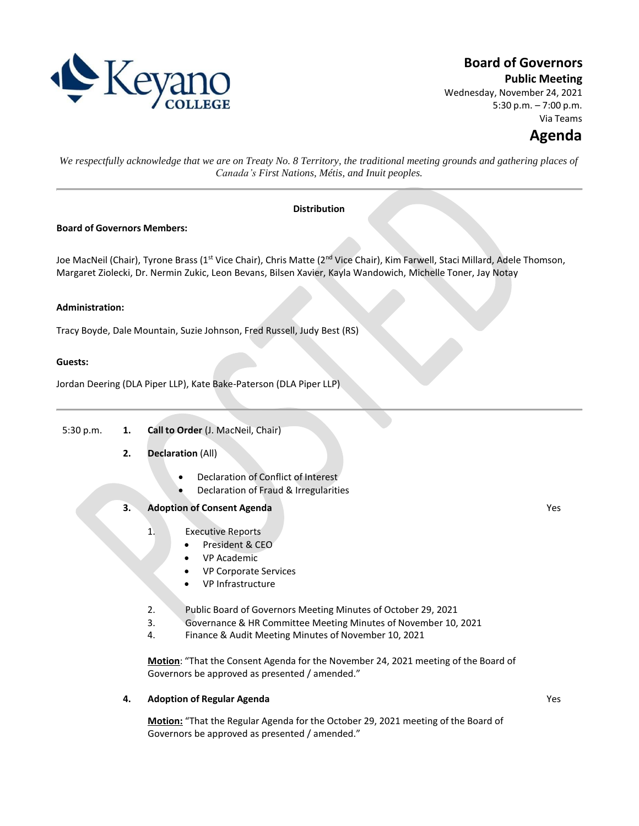

# **Board of Governors**

**Public Meeting**

Wednesday, November 24, 2021 5:30 p.m. – 7:00 p.m. Via Teams

# **Agenda**

We respectfully acknowledge that we are on Treaty No. 8 Territory, the traditional meeting grounds and gathering places of *Canada's First Nations, Métis, and Inuit peoples.*

# **Distribution**

#### **Board of Governors Members:**

Joe MacNeil (Chair), Tyrone Brass (1<sup>st</sup> Vice Chair), Chris Matte (2<sup>nd</sup> Vice Chair), Kim Farwell, Staci Millard, Adele Thomson, Margaret Ziolecki, Dr. Nermin Zukic, Leon Bevans, Bilsen Xavier, Kayla Wandowich, Michelle Toner, Jay Notay

#### **Administration:**

Tracy Boyde, Dale Mountain, Suzie Johnson, Fred Russell, Judy Best (RS)

#### **Guests:**

Jordan Deering (DLA Piper LLP), Kate Bake-Paterson (DLA Piper LLP)

5:30 p.m. **1. Call to Order** (J. MacNeil, Chair)

# **2. Declaration** (All)

- Declaration of Conflict of Interest
- Declaration of Fraud & Irregularities

# **3. Adoption of Consent Agenda**

- 1. Executive Reports
	- President & CEO
	- VP Academic
	- VP Corporate Services
	- VP Infrastructure
- 2. Public Board of Governors Meeting Minutes of October 29, 2021
- 3. Governance & HR Committee Meeting Minutes of November 10, 2021
- 4. Finance & Audit Meeting Minutes of November 10, 2021

**Motion**: "That the Consent Agenda for the November 24, 2021 meeting of the Board of Governors be approved as presented / amended."

# **4. Adoption of Regular Agenda**

**Motion:** "That the Regular Agenda for the October 29, 2021 meeting of the Board of Governors be approved as presented / amended."

Yes

Yes